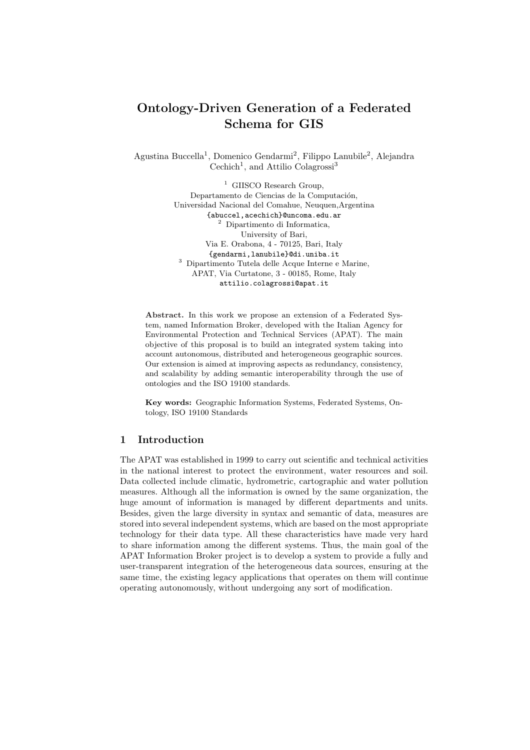# Ontology-Driven Generation of a Federated Schema for GIS

Agustina Buccella<sup>1</sup>, Domenico Gendarmi<sup>2</sup>, Filippo Lanubile<sup>2</sup>, Alejandra Cechich<sup>1</sup>, and Attilio Colagrossi<sup>3</sup>

> <sup>1</sup> GIISCO Research Group. Departamento de Ciencias de la Computación, Universidad Nacional del Comahue, Neuquen,Argentina {abuccel,acechich}@uncoma.edu.ar <sup>2</sup> Dipartimento di Informatica, University of Bari, Via E. Orabona, 4 - 70125, Bari, Italy {gendarmi,lanubile}@di.uniba.it <sup>3</sup> Dipartimento Tutela delle Acque Interne e Marine, APAT, Via Curtatone, 3 - 00185, Rome, Italy attilio.colagrossi@apat.it

Abstract. In this work we propose an extension of a Federated System, named Information Broker, developed with the Italian Agency for Environmental Protection and Technical Services (APAT). The main objective of this proposal is to build an integrated system taking into account autonomous, distributed and heterogeneous geographic sources. Our extension is aimed at improving aspects as redundancy, consistency, and scalability by adding semantic interoperability through the use of ontologies and the ISO 19100 standards.

Key words: Geographic Information Systems, Federated Systems, Ontology, ISO 19100 Standards

## 1 Introduction

The APAT was established in 1999 to carry out scientific and technical activities in the national interest to protect the environment, water resources and soil. Data collected include climatic, hydrometric, cartographic and water pollution measures. Although all the information is owned by the same organization, the huge amount of information is managed by different departments and units. Besides, given the large diversity in syntax and semantic of data, measures are stored into several independent systems, which are based on the most appropriate technology for their data type. All these characteristics have made very hard to share information among the different systems. Thus, the main goal of the APAT Information Broker project is to develop a system to provide a fully and user-transparent integration of the heterogeneous data sources, ensuring at the same time, the existing legacy applications that operates on them will continue operating autonomously, without undergoing any sort of modification.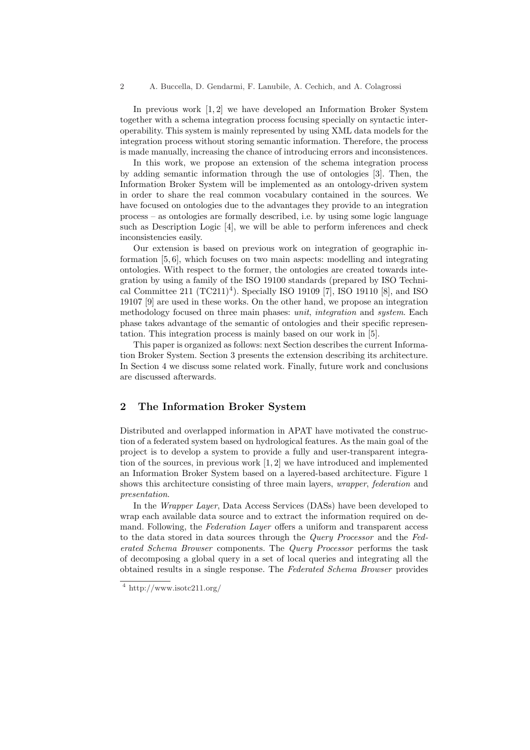In previous work [1, 2] we have developed an Information Broker System together with a schema integration process focusing specially on syntactic interoperability. This system is mainly represented by using XML data models for the integration process without storing semantic information. Therefore, the process is made manually, increasing the chance of introducing errors and inconsistences.

In this work, we propose an extension of the schema integration process by adding semantic information through the use of ontologies [3]. Then, the Information Broker System will be implemented as an ontology-driven system in order to share the real common vocabulary contained in the sources. We have focused on ontologies due to the advantages they provide to an integration process – as ontologies are formally described, i.e. by using some logic language such as Description Logic [4], we will be able to perform inferences and check inconsistencies easily.

Our extension is based on previous work on integration of geographic information [5, 6], which focuses on two main aspects: modelling and integrating ontologies. With respect to the former, the ontologies are created towards integration by using a family of the ISO 19100 standards (prepared by ISO Technical Committee 211  $(TC211)^4$ ). Specially ISO 19109 [7], ISO 19110 [8], and ISO 19107 [9] are used in these works. On the other hand, we propose an integration methodology focused on three main phases: *unit, integration* and *system*. Each phase takes advantage of the semantic of ontologies and their specific representation. This integration process is mainly based on our work in [5].

This paper is organized as follows: next Section describes the current Information Broker System. Section 3 presents the extension describing its architecture. In Section 4 we discuss some related work. Finally, future work and conclusions are discussed afterwards.

# 2 The Information Broker System

Distributed and overlapped information in APAT have motivated the construction of a federated system based on hydrological features. As the main goal of the project is to develop a system to provide a fully and user-transparent integration of the sources, in previous work [1, 2] we have introduced and implemented an Information Broker System based on a layered-based architecture. Figure 1 shows this architecture consisting of three main layers, *wrapper*, *federation* and presentation.

In the Wrapper Layer, Data Access Services (DASs) have been developed to wrap each available data source and to extract the information required on demand. Following, the Federation Layer offers a uniform and transparent access to the data stored in data sources through the *Query Processor* and the Federated Schema Browser components. The Query Processor performs the task of decomposing a global query in a set of local queries and integrating all the obtained results in a single response. The Federated Schema Browser provides

<sup>4</sup> http://www.isotc211.org/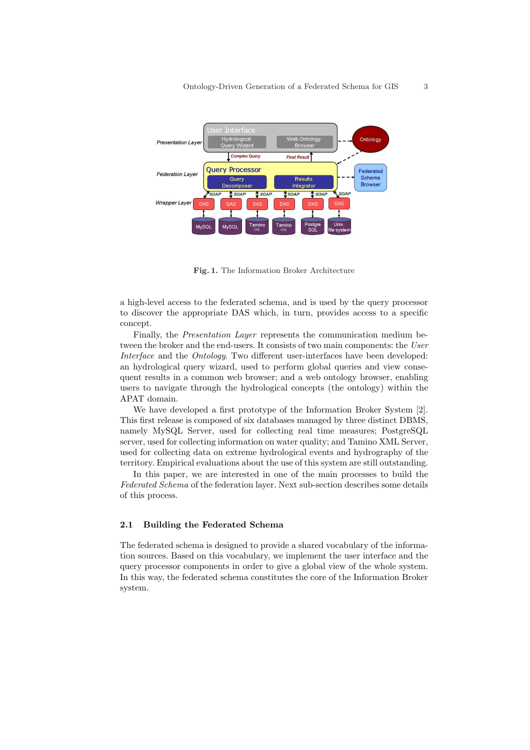

Fig. 1. The Information Broker Architecture

a high-level access to the federated schema, and is used by the query processor to discover the appropriate DAS which, in turn, provides access to a specific concept.

Finally, the Presentation Layer represents the communication medium between the broker and the end-users. It consists of two main components: the User Interface and the Ontology. Two different user-interfaces have been developed: an hydrological query wizard, used to perform global queries and view consequent results in a common web browser; and a web ontology browser, enabling users to navigate through the hydrological concepts (the ontology) within the APAT domain.

We have developed a first prototype of the Information Broker System [2]. This first release is composed of six databases managed by three distinct DBMS, namely MySQL Server, used for collecting real time measures; PostgreSQL server, used for collecting information on water quality; and Tamino XML Server, used for collecting data on extreme hydrological events and hydrography of the territory. Empirical evaluations about the use of this system are still outstanding.

In this paper, we are interested in one of the main processes to build the Federated Schema of the federation layer. Next sub-section describes some details of this process.

#### 2.1 Building the Federated Schema

The federated schema is designed to provide a shared vocabulary of the information sources. Based on this vocabulary, we implement the user interface and the query processor components in order to give a global view of the whole system. In this way, the federated schema constitutes the core of the Information Broker system.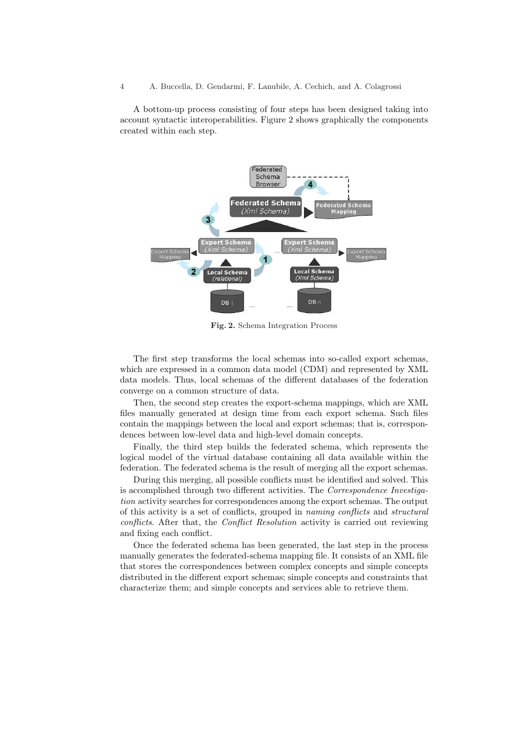A bottom-up process consisting of four steps has been designed taking into account syntactic interoperabilities. Figure 2 shows graphically the components created within each step.



Fig. 2. Schema Integration Process

The first step transforms the local schemas into so-called export schemas, which are expressed in a common data model (CDM) and represented by XML data models. Thus, local schemas of the different databases of the federation converge on a common structure of data.

Then, the second step creates the export-schema mappings, which are XML files manually generated at design time from each export schema. Such files contain the mappings between the local and export schemas; that is, correspondences between low-level data and high-level domain concepts.

Finally, the third step builds the federated schema, which represents the logical model of the virtual database containing all data available within the federation. The federated schema is the result of merging all the export schemas.

During this merging, all possible conflicts must be identified and solved. This is accomplished through two different activities. The Correspondence Investigation activity searches for correspondences among the export schemas. The output of this activity is a set of conflicts, grouped in naming conflicts and structural conflicts. After that, the Conflict Resolution activity is carried out reviewing and fixing each conflict.

Once the federated schema has been generated, the last step in the process manually generates the federated-schema mapping file. It consists of an XML file that stores the correspondences between complex concepts and simple concepts distributed in the different export schemas; simple concepts and constraints that characterize them; and simple concepts and services able to retrieve them.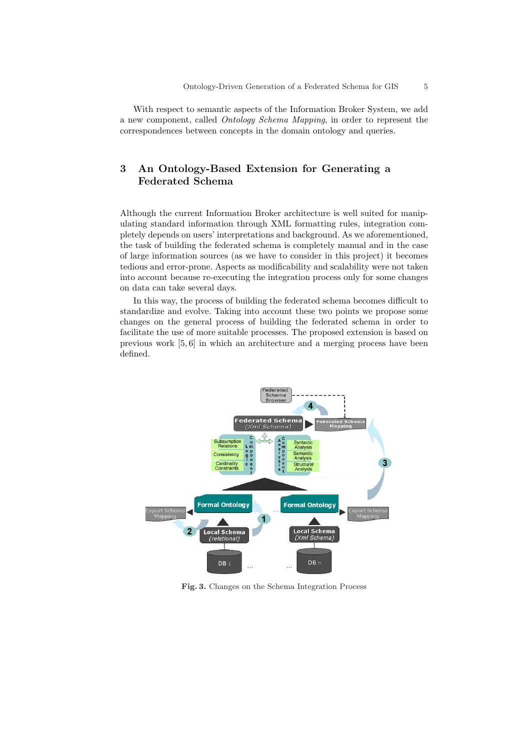With respect to semantic aspects of the Information Broker System, we add a new component, called Ontology Schema Mapping, in order to represent the correspondences between concepts in the domain ontology and queries.

# 3 An Ontology-Based Extension for Generating a Federated Schema

Although the current Information Broker architecture is well suited for manipulating standard information through XML formatting rules, integration completely depends on users' interpretations and background. As we aforementioned, the task of building the federated schema is completely manual and in the case of large information sources (as we have to consider in this project) it becomes tedious and error-prone. Aspects as modificability and scalability were not taken into account because re-executing the integration process only for some changes on data can take several days.

In this way, the process of building the federated schema becomes difficult to standardize and evolve. Taking into account these two points we propose some changes on the general process of building the federated schema in order to facilitate the use of more suitable processes. The proposed extension is based on previous work [5, 6] in which an architecture and a merging process have been defined.



Fig. 3. Changes on the Schema Integration Process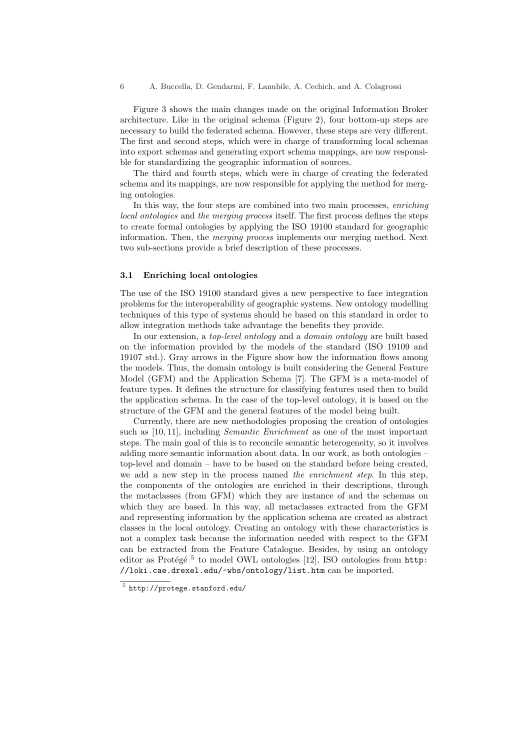Figure 3 shows the main changes made on the original Information Broker architecture. Like in the original schema (Figure 2), four bottom-up steps are necessary to build the federated schema. However, these steps are very different. The first and second steps, which were in charge of transforming local schemas into export schemas and generating export schema mappings, are now responsible for standardizing the geographic information of sources.

The third and fourth steps, which were in charge of creating the federated schema and its mappings, are now responsible for applying the method for merging ontologies.

In this way, the four steps are combined into two main processes, enriching local ontologies and the merging process itself. The first process defines the steps to create formal ontologies by applying the ISO 19100 standard for geographic information. Then, the merging process implements our merging method. Next two sub-sections provide a brief description of these processes.

#### 3.1 Enriching local ontologies

The use of the ISO 19100 standard gives a new perspective to face integration problems for the interoperability of geographic systems. New ontology modelling techniques of this type of systems should be based on this standard in order to allow integration methods take advantage the benefits they provide.

In our extension, a top-level ontology and a domain ontology are built based on the information provided by the models of the standard (ISO 19109 and 19107 std.). Gray arrows in the Figure show how the information flows among the models. Thus, the domain ontology is built considering the General Feature Model (GFM) and the Application Schema [7]. The GFM is a meta-model of feature types. It defines the structure for classifying features used then to build the application schema. In the case of the top-level ontology, it is based on the structure of the GFM and the general features of the model being built.

Currently, there are new methodologies proposing the creation of ontologies such as [10, 11], including *Semantic Enrichment* as one of the most important steps. The main goal of this is to reconcile semantic heterogeneity, so it involves adding more semantic information about data. In our work, as both ontologies – top-level and domain – have to be based on the standard before being created, we add a new step in the process named the enrichment step. In this step, the components of the ontologies are enriched in their descriptions, through the metaclasses (from GFM) which they are instance of and the schemas on which they are based. In this way, all metaclasses extracted from the GFM and representing information by the application schema are created as abstract classes in the local ontology. Creating an ontology with these characteristics is not a complex task because the information needed with respect to the GFM can be extracted from the Feature Catalogue. Besides, by using an ontology editor as Protégé<sup>5</sup> to model OWL ontologies [12], ISO ontologies from http: //loki.cae.drexel.edu/~wbs/ontology/list.htm can be imported.

 $5$  http://protege.stanford.edu/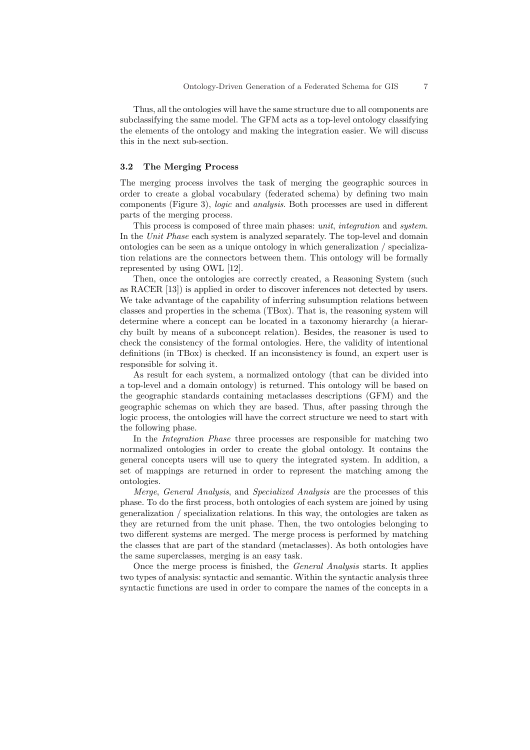Thus, all the ontologies will have the same structure due to all components are subclassifying the same model. The GFM acts as a top-level ontology classifying the elements of the ontology and making the integration easier. We will discuss this in the next sub-section.

#### 3.2 The Merging Process

The merging process involves the task of merging the geographic sources in order to create a global vocabulary (federated schema) by defining two main components (Figure 3), logic and analysis. Both processes are used in different parts of the merging process.

This process is composed of three main phases: *unit, integration* and *system*. In the Unit Phase each system is analyzed separately. The top-level and domain ontologies can be seen as a unique ontology in which generalization / specialization relations are the connectors between them. This ontology will be formally represented by using OWL [12].

Then, once the ontologies are correctly created, a Reasoning System (such as RACER [13]) is applied in order to discover inferences not detected by users. We take advantage of the capability of inferring subsumption relations between classes and properties in the schema (TBox). That is, the reasoning system will determine where a concept can be located in a taxonomy hierarchy (a hierarchy built by means of a subconcept relation). Besides, the reasoner is used to check the consistency of the formal ontologies. Here, the validity of intentional definitions (in TBox) is checked. If an inconsistency is found, an expert user is responsible for solving it.

As result for each system, a normalized ontology (that can be divided into a top-level and a domain ontology) is returned. This ontology will be based on the geographic standards containing metaclasses descriptions (GFM) and the geographic schemas on which they are based. Thus, after passing through the logic process, the ontologies will have the correct structure we need to start with the following phase.

In the Integration Phase three processes are responsible for matching two normalized ontologies in order to create the global ontology. It contains the general concepts users will use to query the integrated system. In addition, a set of mappings are returned in order to represent the matching among the ontologies.

Merge, General Analysis, and Specialized Analysis are the processes of this phase. To do the first process, both ontologies of each system are joined by using generalization / specialization relations. In this way, the ontologies are taken as they are returned from the unit phase. Then, the two ontologies belonging to two different systems are merged. The merge process is performed by matching the classes that are part of the standard (metaclasses). As both ontologies have the same superclasses, merging is an easy task.

Once the merge process is finished, the General Analysis starts. It applies two types of analysis: syntactic and semantic. Within the syntactic analysis three syntactic functions are used in order to compare the names of the concepts in a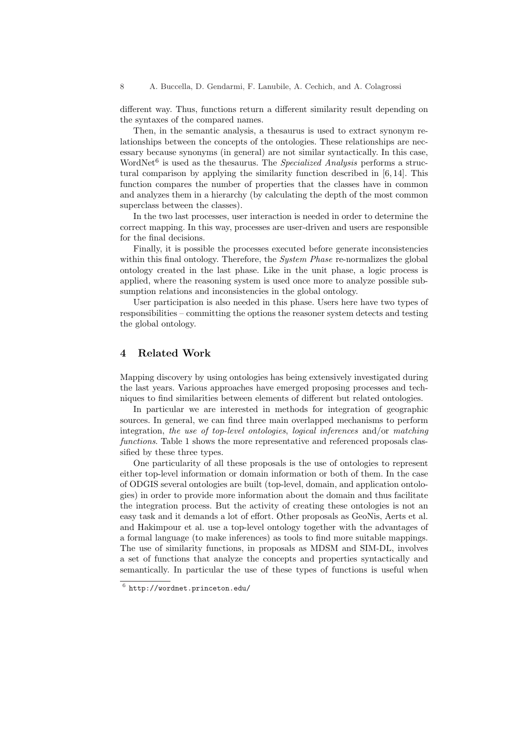different way. Thus, functions return a different similarity result depending on the syntaxes of the compared names.

Then, in the semantic analysis, a thesaurus is used to extract synonym relationships between the concepts of the ontologies. These relationships are necessary because synonyms (in general) are not similar syntactically. In this case, WordNet $6$  is used as the thesaurus. The *Specialized Analysis* performs a structural comparison by applying the similarity function described in [6, 14]. This function compares the number of properties that the classes have in common and analyzes them in a hierarchy (by calculating the depth of the most common superclass between the classes).

In the two last processes, user interaction is needed in order to determine the correct mapping. In this way, processes are user-driven and users are responsible for the final decisions.

Finally, it is possible the processes executed before generate inconsistencies within this final ontology. Therefore, the *System Phase* re-normalizes the global ontology created in the last phase. Like in the unit phase, a logic process is applied, where the reasoning system is used once more to analyze possible subsumption relations and inconsistencies in the global ontology.

User participation is also needed in this phase. Users here have two types of responsibilities – committing the options the reasoner system detects and testing the global ontology.

## 4 Related Work

Mapping discovery by using ontologies has being extensively investigated during the last years. Various approaches have emerged proposing processes and techniques to find similarities between elements of different but related ontologies.

In particular we are interested in methods for integration of geographic sources. In general, we can find three main overlapped mechanisms to perform integration, the use of top-level ontologies, logical inferences and/or matching functions. Table 1 shows the more representative and referenced proposals classified by these three types.

One particularity of all these proposals is the use of ontologies to represent either top-level information or domain information or both of them. In the case of ODGIS several ontologies are built (top-level, domain, and application ontologies) in order to provide more information about the domain and thus facilitate the integration process. But the activity of creating these ontologies is not an easy task and it demands a lot of effort. Other proposals as GeoNis, Aerts et al. and Hakimpour et al. use a top-level ontology together with the advantages of a formal language (to make inferences) as tools to find more suitable mappings. The use of similarity functions, in proposals as MDSM and SIM-DL, involves a set of functions that analyze the concepts and properties syntactically and semantically. In particular the use of these types of functions is useful when

 $^6$  http://wordnet.princeton.edu/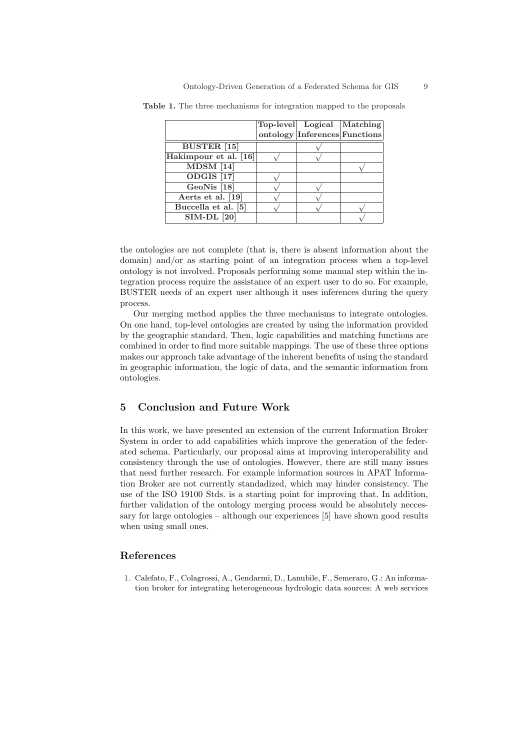|                                  | Top-level Logical Matching    |  |
|----------------------------------|-------------------------------|--|
|                                  | ontology Inferences Functions |  |
| <b>BUSTER</b> [15]               |                               |  |
| Hakimpour et al. [16]            |                               |  |
| $\overline{\text{MDSM} \mid 14}$ |                               |  |
| ODGIS <sup>[17]</sup>            |                               |  |
| GeoNis <sup>[18]</sup>           |                               |  |
| Aerts et al. [19]                |                               |  |
| Buccella et al. [5]              |                               |  |
| <b>SIM-DL</b> [20]               |                               |  |

Table 1. The three mechanisms for integration mapped to the proposals

the ontologies are not complete (that is, there is absent information about the domain) and/or as starting point of an integration process when a top-level ontology is not involved. Proposals performing some manual step within the integration process require the assistance of an expert user to do so. For example, BUSTER needs of an expert user although it uses inferences during the query process.

Our merging method applies the three mechanisms to integrate ontologies. On one hand, top-level ontologies are created by using the information provided by the geographic standard. Then, logic capabilities and matching functions are combined in order to find more suitable mappings. The use of these three options makes our approach take advantage of the inherent benefits of using the standard in geographic information, the logic of data, and the semantic information from ontologies.

## 5 Conclusion and Future Work

In this work, we have presented an extension of the current Information Broker System in order to add capabilities which improve the generation of the federated schema. Particularly, our proposal aims at improving interoperability and consistency through the use of ontologies. However, there are still many issues that need further research. For example information sources in APAT Information Broker are not currently standadized, which may hinder consistency. The use of the ISO 19100 Stds. is a starting point for improving that. In addition, further validation of the ontology merging process would be absolutely neccessary for large ontologies – although our experiences [5] have shown good results when using small ones.

#### References

1. Calefato, F., Colagrossi, A., Gendarmi, D., Lanubile, F., Semeraro, G.: An information broker for integrating heterogeneous hydrologic data sources: A web services